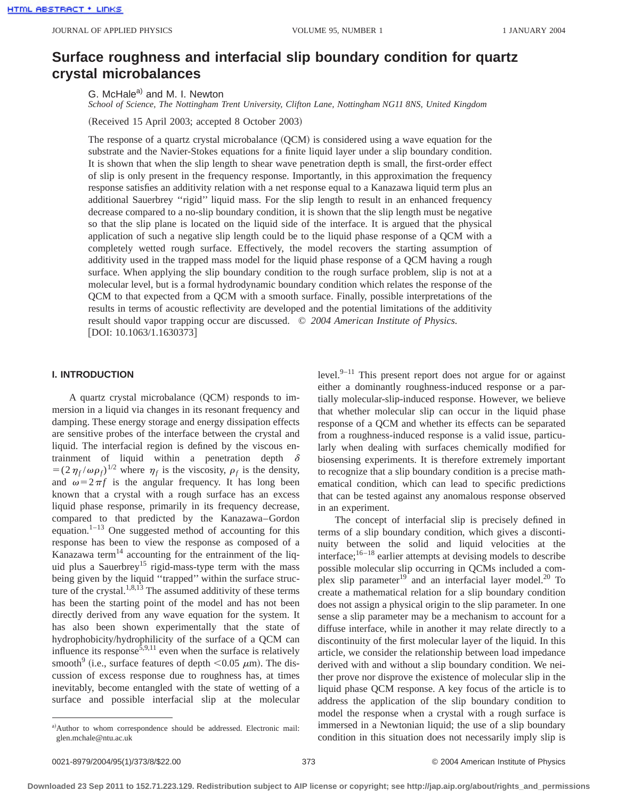# **Surface roughness and interfacial slip boundary condition for quartz crystal microbalances**

G. McHale<sup>a)</sup> and M. I. Newton

*School of Science, The Nottingham Trent University, Clifton Lane, Nottingham NG11 8NS, United Kingdom*

(Received 15 April 2003; accepted 8 October 2003)

The response of a quartz crystal microbalance  $(QCM)$  is considered using a wave equation for the substrate and the Navier-Stokes equations for a finite liquid layer under a slip boundary condition. It is shown that when the slip length to shear wave penetration depth is small, the first-order effect of slip is only present in the frequency response. Importantly, in this approximation the frequency response satisfies an additivity relation with a net response equal to a Kanazawa liquid term plus an additional Sauerbrey "rigid" liquid mass. For the slip length to result in an enhanced frequency decrease compared to a no-slip boundary condition, it is shown that the slip length must be negative so that the slip plane is located on the liquid side of the interface. It is argued that the physical application of such a negative slip length could be to the liquid phase response of a QCM with a completely wetted rough surface. Effectively, the model recovers the starting assumption of additivity used in the trapped mass model for the liquid phase response of a QCM having a rough surface. When applying the slip boundary condition to the rough surface problem, slip is not at a molecular level, but is a formal hydrodynamic boundary condition which relates the response of the QCM to that expected from a QCM with a smooth surface. Finally, possible interpretations of the results in terms of acoustic reflectivity are developed and the potential limitations of the additivity result should vapor trapping occur are discussed. © *2004 American Institute of Physics.*  $[DOI: 10.1063/1.1630373]$ 

## **I. INTRODUCTION**

A quartz crystal microbalance  $(QCM)$  responds to immersion in a liquid via changes in its resonant frequency and damping. These energy storage and energy dissipation effects are sensitive probes of the interface between the crystal and liquid. The interfacial region is defined by the viscous entrainment of liquid within a penetration depth  $\delta$  $= (2 \eta_f / \omega \rho_f)^{1/2}$  where  $\eta_f$  is the viscosity,  $\rho_f$  is the density, and  $\omega = 2 \pi f$  is the angular frequency. It has long been known that a crystal with a rough surface has an excess liquid phase response, primarily in its frequency decrease, compared to that predicted by the Kanazawa–Gordon equation. $1-13$  One suggested method of accounting for this response has been to view the response as composed of a Kanazawa term<sup>14</sup> accounting for the entrainment of the liquid plus a Sauerbrey<sup>15</sup> rigid-mass-type term with the mass being given by the liquid "trapped" within the surface structure of the crystal.<sup>1,8,13</sup> The assumed additivity of these terms has been the starting point of the model and has not been directly derived from any wave equation for the system. It has also been shown experimentally that the state of hydrophobicity/hydrophilicity of the surface of a QCM can influence its response<sup>5,9,11</sup> even when the surface is relatively smooth<sup>9</sup> (i.e., surface features of depth  $< 0.05 \mu$ m). The discussion of excess response due to roughness has, at times inevitably, become entangled with the state of wetting of a surface and possible interfacial slip at the molecular

a)Author to whom correspondence should be addressed. Electronic mail: glen.mchale@ntu.ac.uk

level. $9-11$  This present report does not argue for or against either a dominantly roughness-induced response or a partially molecular-slip-induced response. However, we believe that whether molecular slip can occur in the liquid phase response of a QCM and whether its effects can be separated from a roughness-induced response is a valid issue, particularly when dealing with surfaces chemically modified for biosensing experiments. It is therefore extremely important to recognize that a slip boundary condition is a precise mathematical condition, which can lead to specific predictions that can be tested against any anomalous response observed in an experiment.

The concept of interfacial slip is precisely defined in terms of a slip boundary condition, which gives a discontinuity between the solid and liquid velocities at the interface; $16-18$  earlier attempts at devising models to describe possible molecular slip occurring in QCMs included a complex slip parameter<sup>19</sup> and an interfacial layer model.<sup>20</sup> To create a mathematical relation for a slip boundary condition does not assign a physical origin to the slip parameter. In one sense a slip parameter may be a mechanism to account for a diffuse interface, while in another it may relate directly to a discontinuity of the first molecular layer of the liquid. In this article, we consider the relationship between load impedance derived with and without a slip boundary condition. We neither prove nor disprove the existence of molecular slip in the liquid phase QCM response. A key focus of the article is to address the application of the slip boundary condition to model the response when a crystal with a rough surface is immersed in a Newtonian liquid; the use of a slip boundary condition in this situation does not necessarily imply slip is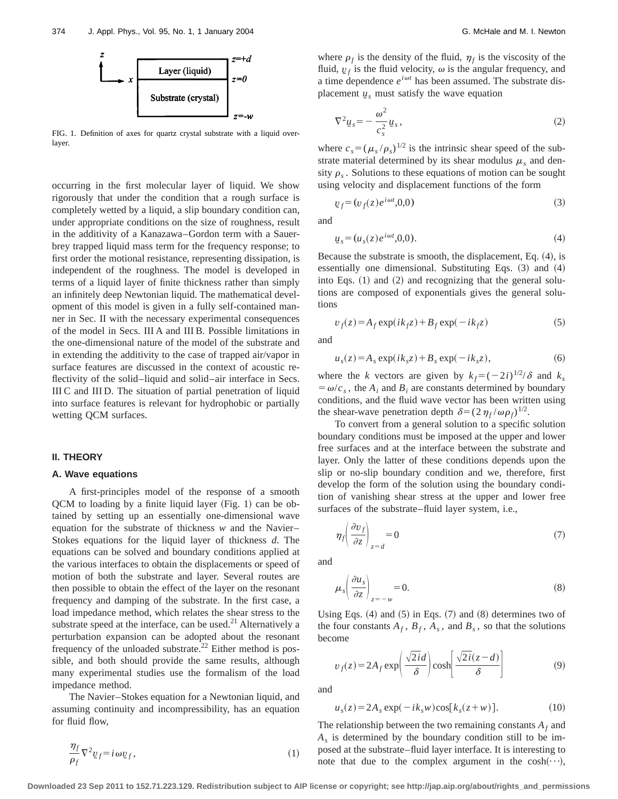

FIG. 1. Definition of axes for quartz crystal substrate with a liquid overlayer.

occurring in the first molecular layer of liquid. We show rigorously that under the condition that a rough surface is completely wetted by a liquid, a slip boundary condition can, under appropriate conditions on the size of roughness, result in the additivity of a Kanazawa–Gordon term with a Sauerbrey trapped liquid mass term for the frequency response; to first order the motional resistance, representing dissipation, is independent of the roughness. The model is developed in terms of a liquid layer of finite thickness rather than simply an infinitely deep Newtonian liquid. The mathematical development of this model is given in a fully self-contained manner in Sec. II with the necessary experimental consequences of the model in Secs. III A and III B. Possible limitations in the one-dimensional nature of the model of the substrate and in extending the additivity to the case of trapped air/vapor in surface features are discussed in the context of acoustic reflectivity of the solid–liquid and solid–air interface in Secs. III C and III D. The situation of partial penetration of liquid into surface features is relevant for hydrophobic or partially wetting QCM surfaces.

## **II. THEORY**

#### **A. Wave equations**

A first-principles model of the response of a smooth  $QCM$  to loading by a finite liquid layer (Fig. 1) can be obtained by setting up an essentially one-dimensional wave equation for the substrate of thickness *w* and the Navier– Stokes equations for the liquid layer of thickness *d*. The equations can be solved and boundary conditions applied at the various interfaces to obtain the displacements or speed of motion of both the substrate and layer. Several routes are then possible to obtain the effect of the layer on the resonant frequency and damping of the substrate. In the first case, a load impedance method, which relates the shear stress to the substrate speed at the interface, can be used. $^{21}$  Alternatively a perturbation expansion can be adopted about the resonant frequency of the unloaded substrate.<sup>22</sup> Either method is possible, and both should provide the same results, although many experimental studies use the formalism of the load impedance method.

The Navier–Stokes equation for a Newtonian liquid, and assuming continuity and incompressibility, has an equation for fluid flow,

$$
\frac{\eta_f}{\rho_f} \nabla^2 \underline{v}_f = i \omega \underline{v}_f,\tag{1}
$$

where  $\rho_f$  is the density of the fluid,  $\eta_f$  is the viscosity of the fluid,  $\mathbf{v}_f$  is the fluid velocity,  $\boldsymbol{\omega}$  is the angular frequency, and a time dependence  $e^{i\omega t}$  has been assumed. The substrate displacement  $u<sub>s</sub>$  must satisfy the wave equation

$$
\nabla^2 \underline{u}_s = -\frac{\omega^2}{c_s^2} \underline{u}_s \,, \tag{2}
$$

where  $c_s = (\mu_s / \rho_s)^{1/2}$  is the intrinsic shear speed of the substrate material determined by its shear modulus  $\mu_s$  and density  $\rho_s$ . Solutions to these equations of motion can be sought using velocity and displacement functions of the form

$$
\underline{v}_f = (v_f(z)e^{i\omega t}, 0, 0) \tag{3}
$$

and

$$
\underline{u}_s = (u_s(z)e^{i\omega t}, 0, 0). \tag{4}
$$

Because the substrate is smooth, the displacement, Eq.  $(4)$ , is essentially one dimensional. Substituting Eqs.  $(3)$  and  $(4)$ into Eqs.  $(1)$  and  $(2)$  and recognizing that the general solutions are composed of exponentials gives the general solutions

$$
v_f(z) = A_f \exp(ik_f z) + B_f \exp(-ik_f z)
$$
 (5)

and

$$
u_s(z) = A_s \exp(ik_s z) + B_s \exp(-ik_s z), \tag{6}
$$

where the *k* vectors are given by  $k_f = (-2i)^{1/2} \delta$  and  $k_s$  $= \omega/c_s$ , the *A<sub>i</sub>* and *B<sub>i</sub>* are constants determined by boundary conditions, and the fluid wave vector has been written using the shear-wave penetration depth  $\delta = (2 \eta_f / \omega \rho_f)^{1/2}$ .

To convert from a general solution to a specific solution boundary conditions must be imposed at the upper and lower free surfaces and at the interface between the substrate and layer. Only the latter of these conditions depends upon the slip or no-slip boundary condition and we, therefore, first develop the form of the solution using the boundary condition of vanishing shear stress at the upper and lower free surfaces of the substrate–fluid layer system, i.e.,

$$
\eta_f \left( \frac{\partial v_f}{\partial z} \right)_{z=d} = 0 \tag{7}
$$

and

$$
\mu_s \left( \frac{\partial u_s}{\partial z} \right)_{z = -w} = 0. \tag{8}
$$

Using Eqs.  $(4)$  and  $(5)$  in Eqs.  $(7)$  and  $(8)$  determines two of the four constants  $A_f$ ,  $B_f$ ,  $A_s$ , and  $B_s$ , so that the solutions become

$$
v_f(z) = 2A_f \exp\left(\frac{\sqrt{2i}d}{\delta}\right) \cosh\left(\frac{\sqrt{2i}(z-d)}{\delta}\right) \tag{9}
$$

and

$$
u_s(z) = 2A_s \exp(-ik_s w) \cos[k_s(z+w)]. \tag{10}
$$

The relationship between the two remaining constants  $A_f$  and *As* is determined by the boundary condition still to be imposed at the substrate–fluid layer interface. It is interesting to note that due to the complex argument in the cosh $(\cdots)$ ,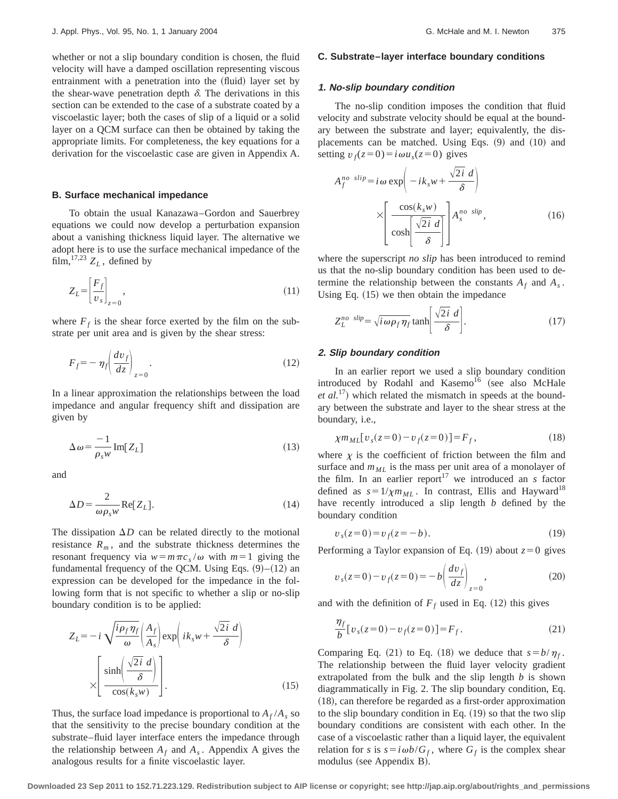whether or not a slip boundary condition is chosen, the fluid velocity will have a damped oscillation representing viscous entrainment with a penetration into the (fluid) layer set by the shear-wave penetration depth  $\delta$ . The derivations in this section can be extended to the case of a substrate coated by a viscoelastic layer; both the cases of slip of a liquid or a solid layer on a QCM surface can then be obtained by taking the appropriate limits. For completeness, the key equations for a derivation for the viscoelastic case are given in Appendix A.

#### **B. Surface mechanical impedance**

To obtain the usual Kanazawa–Gordon and Sauerbrey equations we could now develop a perturbation expansion about a vanishing thickness liquid layer. The alternative we adopt here is to use the surface mechanical impedance of the film,  $17,23$   $Z_L$ , defined by

$$
Z_L = \left[\frac{F_f}{v_s}\right]_{z=0},\tag{11}
$$

where  $F_f$  is the shear force exerted by the film on the substrate per unit area and is given by the shear stress:

$$
F_f = -\eta_f \left(\frac{dv_f}{dz}\right)_{z=0}.\tag{12}
$$

In a linear approximation the relationships between the load impedance and angular frequency shift and dissipation are given by

$$
\Delta \omega = \frac{-1}{\rho_s w} \operatorname{Im}[Z_L] \tag{13}
$$

and

$$
\Delta D = \frac{2}{\omega \rho_s w} \text{Re}[Z_L]. \tag{14}
$$

The dissipation  $\Delta D$  can be related directly to the motional resistance  $R_m$ , and the substrate thickness determines the resonant frequency via  $w = m \pi c_s / \omega$  with  $m = 1$  giving the fundamental frequency of the QCM. Using Eqs.  $(9)$ – $(12)$  an expression can be developed for the impedance in the following form that is not specific to whether a slip or no-slip boundary condition is to be applied:

$$
Z_L = -i \sqrt{\frac{i \rho_f \eta_f}{\omega}} \left(\frac{A_f}{A_s}\right) \exp\left(ik_s w + \frac{\sqrt{2i} d}{\delta}\right)
$$

$$
\times \left[\frac{\sinh\left(\frac{\sqrt{2i} d}{\delta}\right)}{\cos(k_s w)}\right].
$$
(15)

Thus, the surface load impedance is proportional to  $A_f/A_s$  so that the sensitivity to the precise boundary condition at the substrate–fluid layer interface enters the impedance through the relationship between  $A_f$  and  $A_s$ . Appendix A gives the analogous results for a finite viscoelastic layer.

## **C. Substrate–layer interface boundary conditions**

## **1. No-slip boundary condition**

The no-slip condition imposes the condition that fluid velocity and substrate velocity should be equal at the boundary between the substrate and layer; equivalently, the displacements can be matched. Using Eqs.  $(9)$  and  $(10)$  and setting  $v_f(z=0) = i \omega u_s(z=0)$  gives

$$
A_f^{no-slip} = i\omega \exp\left(-ik_s w + \frac{\sqrt{2i} d}{\delta}\right)
$$

$$
\times \left[\frac{\cos(k_s w)}{\cosh\left(\frac{\sqrt{2i} d}{\delta}\right)}\right] A_s^{no-slip}, \qquad (16)
$$

where the superscript *no slip* has been introduced to remind us that the no-slip boundary condition has been used to determine the relationship between the constants  $A_f$  and  $A_s$ . Using Eq.  $(15)$  we then obtain the impedance

$$
Z_L^{no \ \ slip} = \sqrt{i \omega \rho_f \eta_f} \tanh\left[\frac{\sqrt{2i} \ d}{\delta}\right].\tag{17}
$$

#### **2. Slip boundary condition**

In an earlier report we used a slip boundary condition introduced by Rodahl and Kasemo<sup>16</sup> (see also McHale *et al.*<sup>17</sup>) which related the mismatch in speeds at the boundary between the substrate and layer to the shear stress at the boundary, i.e.,

$$
\chi m_{ML} [v_s(z=0) - v_f(z=0)] = F_f, \qquad (18)
$$

where  $\chi$  is the coefficient of friction between the film and surface and  $m_{ML}$  is the mass per unit area of a monolayer of the film. In an earlier report<sup>17</sup> we introduced an  $s$  factor defined as  $s=1/\chi m_{ML}$ . In contrast, Ellis and Hayward<sup>18</sup> have recently introduced a slip length *b* defined by the boundary condition

$$
v_s(z=0) = v_f(z=-b). \tag{19}
$$

Performing a Taylor expansion of Eq.  $(19)$  about  $z=0$  gives

$$
v_s(z=0) - v_f(z=0) = -b \left(\frac{dv_f}{dz}\right)_{z=0},
$$
 (20)

and with the definition of  $F_f$  used in Eq. (12) this gives

$$
\frac{\eta_f}{b} [v_s(z=0) - v_f(z=0)] = F_f.
$$
 (21)

Comparing Eq. (21) to Eq. (18) we deduce that  $s = b/\eta_f$ . The relationship between the fluid layer velocity gradient extrapolated from the bulk and the slip length *b* is shown diagrammatically in Fig. 2. The slip boundary condition, Eq.  $(18)$ , can therefore be regarded as a first-order approximation to the slip boundary condition in Eq.  $(19)$  so that the two slip boundary conditions are consistent with each other. In the case of a viscoelastic rather than a liquid layer, the equivalent relation for *s* is  $s = i \omega b / G_f$ , where  $G_f$  is the complex shear modulus (see Appendix B).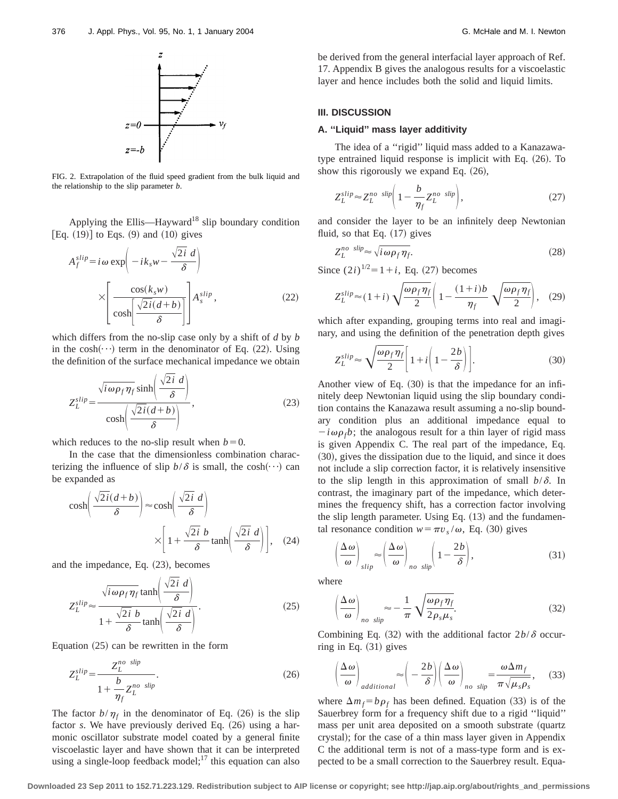

FIG. 2. Extrapolation of the fluid speed gradient from the bulk liquid and the relationship to the slip parameter *b*.

Applying the Ellis—Hayward<sup>18</sup> slip boundary condition [Eq.  $(19)$ ] to Eqs.  $(9)$  and  $(10)$  gives

$$
A_f^{slip} = i\omega \exp\left(-ik_s w - \frac{\sqrt{2i} d}{\delta}\right)
$$

$$
\times \left[\frac{\cos(k_s w)}{\cosh\left[\frac{\sqrt{2i}(d+b)}{\delta}\right]}\right] A_s^{slip},\tag{22}
$$

which differs from the no-slip case only by a shift of *d* by *b* in the cosh $(\cdots)$  term in the denominator of Eq. (22). Using the definition of the surface mechanical impedance we obtain

$$
Z_L^{slip} = \frac{\sqrt{i \omega \rho_f \eta_f} \sinh\left(\frac{\sqrt{2i} \ d}{\delta}\right)}{\cosh\left(\frac{\sqrt{2i} (d+b)}{\delta}\right)},\tag{23}
$$

which reduces to the no-slip result when  $b=0$ .

In the case that the dimensionless combination characterizing the influence of slip  $b/\delta$  is small, the cosh $(\cdots)$  can be expanded as

$$
\cosh\left(\frac{\sqrt{2i}(d+b)}{\delta}\right) \approx \cosh\left(\frac{\sqrt{2i} d}{\delta}\right)
$$

$$
\times \left[1 + \frac{\sqrt{2i} b}{\delta} \tanh\left(\frac{\sqrt{2i} d}{\delta}\right)\right], \quad (24)
$$

and the impedance, Eq.  $(23)$ , becomes

$$
Z_L^{slip} \approx \frac{\sqrt{i \omega \rho_f \eta_f} \tanh\left(\frac{\sqrt{2i} \ d}{\delta}\right)}{1 + \frac{\sqrt{2i} \ b}{\delta} \tanh\left(\frac{\sqrt{2i} \ d}{\delta}\right)}.
$$
 (25)

Equation  $(25)$  can be rewritten in the form

$$
Z_L^{slip} = \frac{Z_L^{no \ slip}}{1 + \frac{b}{\eta_f} Z_L^{no \ slip}}.
$$
\n(26)

The factor  $b/\eta_f$  in the denominator of Eq. (26) is the slip factor *s*. We have previously derived Eq. (26) using a harmonic oscillator substrate model coated by a general finite viscoelastic layer and have shown that it can be interpreted using a single-loop feedback model; $^{17}$  this equation can also be derived from the general interfacial layer approach of Ref. 17. Appendix B gives the analogous results for a viscoelastic layer and hence includes both the solid and liquid limits.

#### **III. DISCUSSION**

## **A. ''Liquid'' mass layer additivity**

The idea of a ''rigid'' liquid mass added to a Kanazawatype entrained liquid response is implicit with Eq.  $(26)$ . To show this rigorously we expand Eq.  $(26)$ ,

$$
Z_L^{slip} \approx Z_L^{no \ slip} \left( 1 - \frac{b}{\eta_f} Z_L^{no \ slip} \right), \tag{27}
$$

and consider the layer to be an infinitely deep Newtonian fluid, so that Eq.  $(17)$  gives

$$
Z_L^{no\ \nsl{slip}} \approx \sqrt{i\,\omega\rho_f\,\eta_f}.\tag{28}
$$

Since  $(2i)^{1/2} = 1 + i$ , Eq. (27) becomes

$$
Z_L^{slip} \approx (1+i) \sqrt{\frac{\omega \rho_f \eta_f}{2}} \left( 1 - \frac{(1+i)b}{\eta_f} \sqrt{\frac{\omega \rho_f \eta_f}{2}} \right), \quad (29)
$$

which after expanding, grouping terms into real and imaginary, and using the definition of the penetration depth gives

$$
Z_L^{slip} \approx \sqrt{\frac{\omega \rho_f \eta_f}{2}} \bigg[ 1 + i \bigg( 1 - \frac{2b}{\delta} \bigg) \bigg]. \tag{30}
$$

Another view of Eq.  $(30)$  is that the impedance for an infinitely deep Newtonian liquid using the slip boundary condition contains the Kanazawa result assuming a no-slip boundary condition plus an additional impedance equal to  $\frac{\partial}{\partial \rho} = i \omega \rho_f b$ ; the analogous result for a thin layer of rigid mass is given Appendix C. The real part of the impedance, Eq.  $(30)$ , gives the dissipation due to the liquid, and since it does not include a slip correction factor, it is relatively insensitive to the slip length in this approximation of small  $b/\delta$ . In contrast, the imaginary part of the impedance, which determines the frequency shift, has a correction factor involving the slip length parameter. Using Eq.  $(13)$  and the fundamental resonance condition  $w = \pi v_s / \omega$ , Eq. (30) gives

$$
\left(\frac{\Delta\omega}{\omega}\right)_{slip} \approx \left(\frac{\Delta\omega}{\omega}\right)_{no\ slip} \left(1 - \frac{2b}{\delta}\right),\tag{31}
$$

where

$$
\left(\frac{\Delta\omega}{\omega}\right)_{no \ slip} \approx -\frac{1}{\pi}\sqrt{\frac{\omega\rho_f\eta_f}{2\rho_s\mu_s}}.\tag{32}
$$

Combining Eq.  $(32)$  with the additional factor  $2b/\delta$  occurring in Eq.  $(31)$  gives

$$
\left(\frac{\Delta\omega}{\omega}\right)_{additional} \approx \left(-\frac{2b}{\delta}\right) \left(\frac{\Delta\omega}{\omega}\right)_{no \ slip} = \frac{\omega\Delta m_f}{\pi\sqrt{\mu_s\rho_s}},\tag{33}
$$

where  $\Delta m_f = b \rho_f$  has been defined. Equation (33) is of the Sauerbrey form for a frequency shift due to a rigid ''liquid'' mass per unit area deposited on a smooth substrate (quartz crystal); for the case of a thin mass layer given in Appendix C the additional term is not of a mass-type form and is expected to be a small correction to the Sauerbrey result. Equa-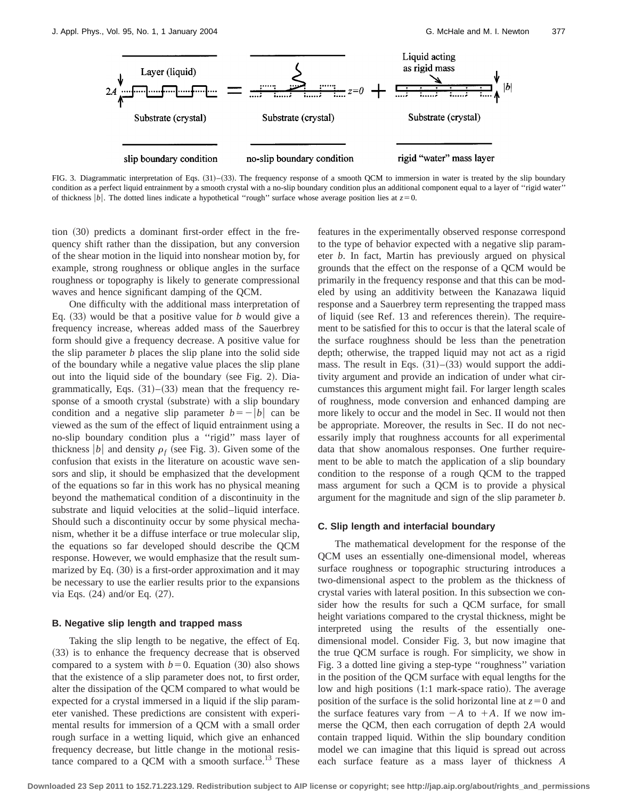

FIG. 3. Diagrammatic interpretation of Eqs. (31)–(33). The frequency response of a smooth QCM to immersion in water is treated by the slip boundary condition as a perfect liquid entrainment by a smooth crystal with a no-slip boundary condition plus an additional component equal to a layer of ''rigid water'' of thickness  $|b|$ . The dotted lines indicate a hypothetical "rough" surface whose average position lies at  $z=0$ .

 $t$ tion  $(30)$  predicts a dominant first-order effect in the frequency shift rather than the dissipation, but any conversion of the shear motion in the liquid into nonshear motion by, for example, strong roughness or oblique angles in the surface roughness or topography is likely to generate compressional waves and hence significant damping of the QCM.

One difficulty with the additional mass interpretation of Eq.  $(33)$  would be that a positive value for *b* would give a frequency increase, whereas added mass of the Sauerbrey form should give a frequency decrease. A positive value for the slip parameter *b* places the slip plane into the solid side of the boundary while a negative value places the slip plane out into the liquid side of the boundary (see Fig. 2). Diagrammatically, Eqs.  $(31)$ – $(33)$  mean that the frequency response of a smooth crystal (substrate) with a slip boundary condition and a negative slip parameter  $b=-|b|$  can be viewed as the sum of the effect of liquid entrainment using a no-slip boundary condition plus a ''rigid'' mass layer of thickness |b| and density  $\rho_f$  (see Fig. 3). Given some of the confusion that exists in the literature on acoustic wave sensors and slip, it should be emphasized that the development of the equations so far in this work has no physical meaning beyond the mathematical condition of a discontinuity in the substrate and liquid velocities at the solid–liquid interface. Should such a discontinuity occur by some physical mechanism, whether it be a diffuse interface or true molecular slip, the equations so far developed should describe the QCM response. However, we would emphasize that the result summarized by Eq.  $(30)$  is a first-order approximation and it may be necessary to use the earlier results prior to the expansions via Eqs.  $(24)$  and/or Eq.  $(27)$ .

## **B. Negative slip length and trapped mass**

Taking the slip length to be negative, the effect of Eq.  $(33)$  is to enhance the frequency decrease that is observed compared to a system with  $b=0$ . Equation (30) also shows that the existence of a slip parameter does not, to first order, alter the dissipation of the QCM compared to what would be expected for a crystal immersed in a liquid if the slip parameter vanished. These predictions are consistent with experimental results for immersion of a QCM with a small order rough surface in a wetting liquid, which give an enhanced frequency decrease, but little change in the motional resistance compared to a QCM with a smooth surface.<sup>13</sup> These features in the experimentally observed response correspond to the type of behavior expected with a negative slip parameter *b*. In fact, Martin has previously argued on physical grounds that the effect on the response of a QCM would be primarily in the frequency response and that this can be modeled by using an additivity between the Kanazawa liquid response and a Sauerbrey term representing the trapped mass of liquid (see Ref. 13 and references therein). The requirement to be satisfied for this to occur is that the lateral scale of the surface roughness should be less than the penetration depth; otherwise, the trapped liquid may not act as a rigid mass. The result in Eqs.  $(31)–(33)$  would support the additivity argument and provide an indication of under what circumstances this argument might fail. For larger length scales of roughness, mode conversion and enhanced damping are more likely to occur and the model in Sec. II would not then be appropriate. Moreover, the results in Sec. II do not necessarily imply that roughness accounts for all experimental data that show anomalous responses. One further requirement to be able to match the application of a slip boundary condition to the response of a rough QCM to the trapped mass argument for such a QCM is to provide a physical argument for the magnitude and sign of the slip parameter *b*.

## **C. Slip length and interfacial boundary**

The mathematical development for the response of the QCM uses an essentially one-dimensional model, whereas surface roughness or topographic structuring introduces a two-dimensional aspect to the problem as the thickness of crystal varies with lateral position. In this subsection we consider how the results for such a QCM surface, for small height variations compared to the crystal thickness, might be interpreted using the results of the essentially onedimensional model. Consider Fig. 3, but now imagine that the true QCM surface is rough. For simplicity, we show in Fig. 3 a dotted line giving a step-type ''roughness'' variation in the position of the QCM surface with equal lengths for the low and high positions  $(1:1$  mark-space ratio). The average position of the surface is the solid horizontal line at  $z=0$  and the surface features vary from  $-A$  to  $+A$ . If we now immerse the QCM, then each corrugation of depth 2*A* would contain trapped liquid. Within the slip boundary condition model we can imagine that this liquid is spread out across each surface feature as a mass layer of thickness *A*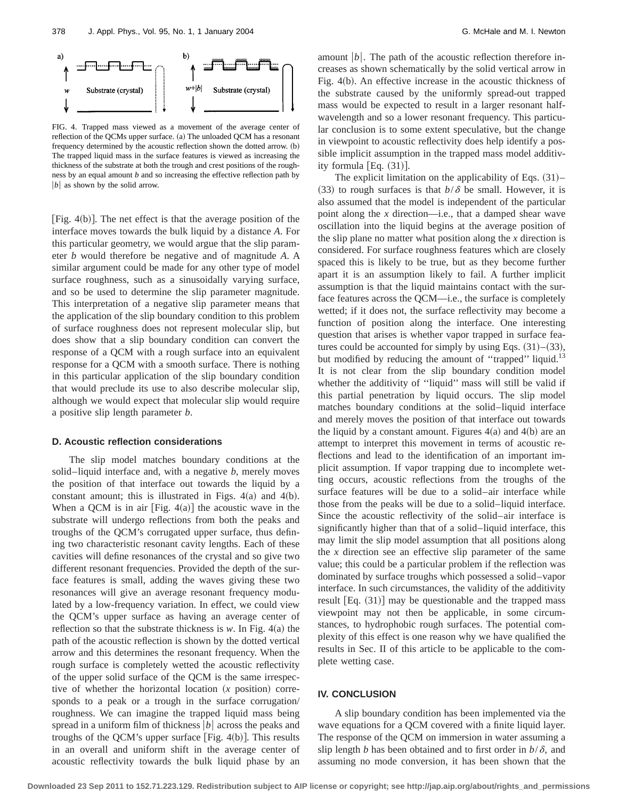

FIG. 4. Trapped mass viewed as a movement of the average center of reflection of the QCMs upper surface. (a) The unloaded QCM has a resonant frequency determined by the acoustic reflection shown the dotted arrow.  $(b)$ The trapped liquid mass in the surface features is viewed as increasing the thickness of the substrate at both the trough and crest positions of the roughness by an equal amount *b* and so increasing the effective reflection path by  $|b|$  as shown by the solid arrow.

[Fig.  $4(b)$ ]. The net effect is that the average position of the interface moves towards the bulk liquid by a distance *A*. For this particular geometry, we would argue that the slip parameter *b* would therefore be negative and of magnitude *A*. A similar argument could be made for any other type of model surface roughness, such as a sinusoidally varying surface, and so be used to determine the slip parameter magnitude. This interpretation of a negative slip parameter means that the application of the slip boundary condition to this problem of surface roughness does not represent molecular slip, but does show that a slip boundary condition can convert the response of a QCM with a rough surface into an equivalent response for a QCM with a smooth surface. There is nothing in this particular application of the slip boundary condition that would preclude its use to also describe molecular slip, although we would expect that molecular slip would require a positive slip length parameter *b*.

## **D. Acoustic reflection considerations**

The slip model matches boundary conditions at the solid–liquid interface and, with a negative *b*, merely moves the position of that interface out towards the liquid by a constant amount; this is illustrated in Figs.  $4(a)$  and  $4(b)$ . When a QCM is in air  $|Fig. 4(a)|$  the acoustic wave in the substrate will undergo reflections from both the peaks and troughs of the QCM's corrugated upper surface, thus defining two characteristic resonant cavity lengths. Each of these cavities will define resonances of the crystal and so give two different resonant frequencies. Provided the depth of the surface features is small, adding the waves giving these two resonances will give an average resonant frequency modulated by a low-frequency variation. In effect, we could view the QCM's upper surface as having an average center of reflection so that the substrate thickness is  $w$ . In Fig. 4(a) the path of the acoustic reflection is shown by the dotted vertical arrow and this determines the resonant frequency. When the rough surface is completely wetted the acoustic reflectivity of the upper solid surface of the QCM is the same irrespective of whether the horizontal location  $(x$  position) corresponds to a peak or a trough in the surface corrugation/ roughness. We can imagine the trapped liquid mass being spread in a uniform film of thickness  $|b|$  across the peaks and troughs of the QCM's upper surface [Fig.  $4(b)$ ]. This results in an overall and uniform shift in the average center of acoustic reflectivity towards the bulk liquid phase by an amount  $|b|$ . The path of the acoustic reflection therefore increases as shown schematically by the solid vertical arrow in Fig.  $4(b)$ . An effective increase in the acoustic thickness of the substrate caused by the uniformly spread-out trapped mass would be expected to result in a larger resonant halfwavelength and so a lower resonant frequency. This particular conclusion is to some extent speculative, but the change in viewpoint to acoustic reflectivity does help identify a possible implicit assumption in the trapped mass model additivity formula  $[Eq. (31)].$ 

The explicit limitation on the applicability of Eqs.  $(31)$ –  $(33)$  to rough surfaces is that  $b/\delta$  be small. However, it is also assumed that the model is independent of the particular point along the *x* direction—i.e., that a damped shear wave oscillation into the liquid begins at the average position of the slip plane no matter what position along the *x* direction is considered. For surface roughness features which are closely spaced this is likely to be true, but as they become further apart it is an assumption likely to fail. A further implicit assumption is that the liquid maintains contact with the surface features across the QCM—i.e., the surface is completely wetted; if it does not, the surface reflectivity may become a function of position along the interface. One interesting question that arises is whether vapor trapped in surface features could be accounted for simply by using Eqs.  $(31)$ – $(33)$ , but modified by reducing the amount of "trapped" liquid.<sup>13</sup> It is not clear from the slip boundary condition model whether the additivity of ''liquid'' mass will still be valid if this partial penetration by liquid occurs. The slip model matches boundary conditions at the solid–liquid interface and merely moves the position of that interface out towards the liquid by a constant amount. Figures  $4(a)$  and  $4(b)$  are an attempt to interpret this movement in terms of acoustic reflections and lead to the identification of an important implicit assumption. If vapor trapping due to incomplete wetting occurs, acoustic reflections from the troughs of the surface features will be due to a solid–air interface while those from the peaks will be due to a solid–liquid interface. Since the acoustic reflectivity of the solid–air interface is significantly higher than that of a solid–liquid interface, this may limit the slip model assumption that all positions along the *x* direction see an effective slip parameter of the same value; this could be a particular problem if the reflection was dominated by surface troughs which possessed a solid–vapor interface. In such circumstances, the validity of the additivity result  $[Eq. (31)]$  may be questionable and the trapped mass viewpoint may not then be applicable, in some circumstances, to hydrophobic rough surfaces. The potential complexity of this effect is one reason why we have qualified the results in Sec. II of this article to be applicable to the complete wetting case.

## **IV. CONCLUSION**

A slip boundary condition has been implemented via the wave equations for a QCM covered with a finite liquid layer. The response of the QCM on immersion in water assuming a slip length *b* has been obtained and to first order in  $b/\delta$ , and assuming no mode conversion, it has been shown that the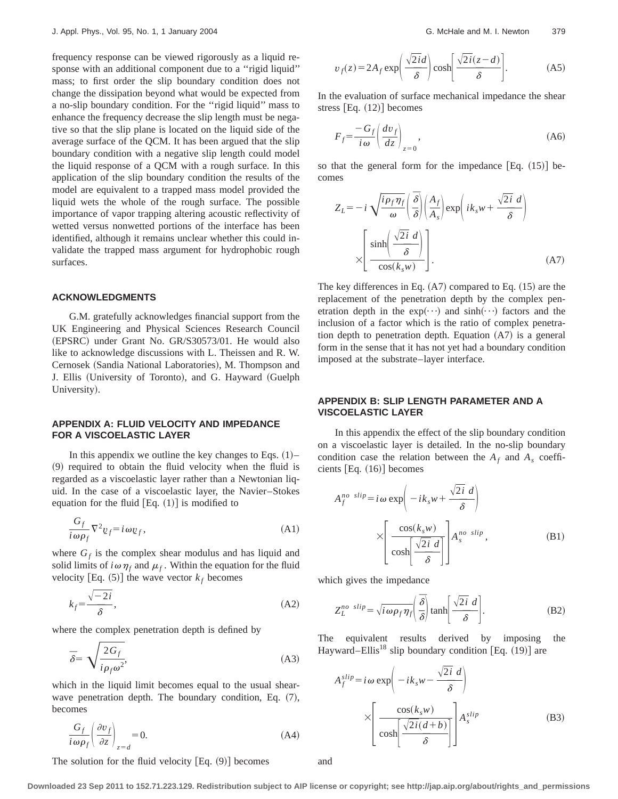frequency response can be viewed rigorously as a liquid response with an additional component due to a "rigid liquid" mass; to first order the slip boundary condition does not change the dissipation beyond what would be expected from a no-slip boundary condition. For the ''rigid liquid'' mass to enhance the frequency decrease the slip length must be negative so that the slip plane is located on the liquid side of the average surface of the QCM. It has been argued that the slip boundary condition with a negative slip length could model the liquid response of a QCM with a rough surface. In this application of the slip boundary condition the results of the model are equivalent to a trapped mass model provided the liquid wets the whole of the rough surface. The possible importance of vapor trapping altering acoustic reflectivity of wetted versus nonwetted portions of the interface has been identified, although it remains unclear whether this could invalidate the trapped mass argument for hydrophobic rough surfaces.

#### **ACKNOWLEDGMENTS**

G.M. gratefully acknowledges financial support from the UK Engineering and Physical Sciences Research Council (EPSRC) under Grant No. GR/S30573/01. He would also like to acknowledge discussions with L. Theissen and R. W. Cernosek (Sandia National Laboratories), M. Thompson and J. Ellis (University of Toronto), and G. Hayward (Guelph University).

## **APPENDIX A: FLUID VELOCITY AND IMPEDANCE FOR A VISCOELASTIC LAYER**

In this appendix we outline the key changes to Eqs.  $(1)$ –  $(9)$  required to obtain the fluid velocity when the fluid is regarded as a viscoelastic layer rather than a Newtonian liquid. In the case of a viscoelastic layer, the Navier–Stokes equation for the fluid  $[Eq. (1)]$  is modified to

$$
\frac{G_f}{i\omega\rho_f} \nabla^2 \underline{v}_f = i\omega \underline{v}_f,\tag{A1}
$$

where  $G_f$  is the complex shear modulus and has liquid and solid limits of  $i\omega \eta_f$  and  $\mu_f$ . Within the equation for the fluid velocity [Eq.  $(5)$ ] the wave vector  $k_f$  becomes

$$
k_f = \frac{\sqrt{-2i}}{\bar{\delta}},\tag{A2}
$$

where the complex penetration depth is defined by

$$
\bar{\delta} = \sqrt{\frac{2G_f}{i\rho_f \omega^2}},\tag{A3}
$$

which in the liquid limit becomes equal to the usual shearwave penetration depth. The boundary condition, Eq.  $(7)$ , becomes

$$
\frac{G_f}{i\omega\rho_f} \left(\frac{\partial v_f}{\partial z}\right)_{z=d} = 0.
$$
\n(A4)

The solution for the fluid velocity  $[Eq. (9)]$  becomes

and

$$
v_f(z) = 2A_f \exp\left(\frac{\sqrt{2i}d}{\bar{\delta}}\right) \cosh\left(\frac{\sqrt{2i}(z-d)}{\bar{\delta}}\right). \tag{A5}
$$

In the evaluation of surface mechanical impedance the shear stress  $[Eq. (12)]$  becomes

$$
F_f = \frac{-G_f}{i\omega} \left(\frac{dv_f}{dz}\right)_{z=0},\tag{A6}
$$

so that the general form for the impedance  $[Eq. (15)]$  becomes

$$
Z_{L} = -i \sqrt{\frac{i \rho_{f} \eta_{f}}{\omega}} \left( \frac{\overline{\delta}}{\delta} \right) \left( \frac{A_{f}}{A_{s}} \right) \exp\left( ik_{s} w + \frac{\sqrt{2i} d}{\overline{\delta}} \right)
$$

$$
\times \left[ \frac{\sinh\left( \frac{\sqrt{2i} d}{\overline{\delta}} \right)}{\cos(k_{s} w)} \right].
$$
(A7)

The key differences in Eq.  $(A7)$  compared to Eq.  $(15)$  are the replacement of the penetration depth by the complex penetration depth in the  $exp(-\cdot)$  and  $sinh(-\cdot)$  factors and the inclusion of a factor which is the ratio of complex penetration depth to penetration depth. Equation  $(A7)$  is a general form in the sense that it has not yet had a boundary condition imposed at the substrate–layer interface.

## **APPENDIX B: SLIP LENGTH PARAMETER AND A VISCOELASTIC LAYER**

In this appendix the effect of the slip boundary condition on a viscoelastic layer is detailed. In the no-slip boundary condition case the relation between the  $A_f$  and  $A_s$  coefficients  $[Eq. (16)]$  becomes

$$
A_f^{no-slip} = i\omega \exp\left(-ik_s w + \frac{\sqrt{2i} d}{\bar{\delta}}\right)
$$

$$
\times \left[\frac{\cos(k_s w)}{\cosh\left(\frac{\sqrt{2i} d}{\bar{\delta}}\right)}\right] A_s^{no-slip}, \tag{B1}
$$

which gives the impedance

$$
Z_L^{no \ \ slip} = \sqrt{i\,\omega\rho_f\,\eta_f} \bigg(\frac{\overline{\delta}}{\delta}\bigg) \tanh\bigg[\frac{\sqrt{2\,i}\,d}{\overline{\delta}}\bigg].\tag{B2}
$$

The equivalent results derived by imposing the Hayward–Ellis<sup>18</sup> slip boundary condition [Eq.  $(19)$ ] are

$$
A_f^{slip} = i\omega \exp\left(-ik_s w - \frac{\sqrt{2i} d}{\overline{\delta}}\right)
$$

$$
\times \left[\frac{\cos(k_s w)}{\cosh\left(\frac{\sqrt{2i} (d+b)}{\overline{\delta}}\right)}\right] A_s^{slip}
$$
(B3)